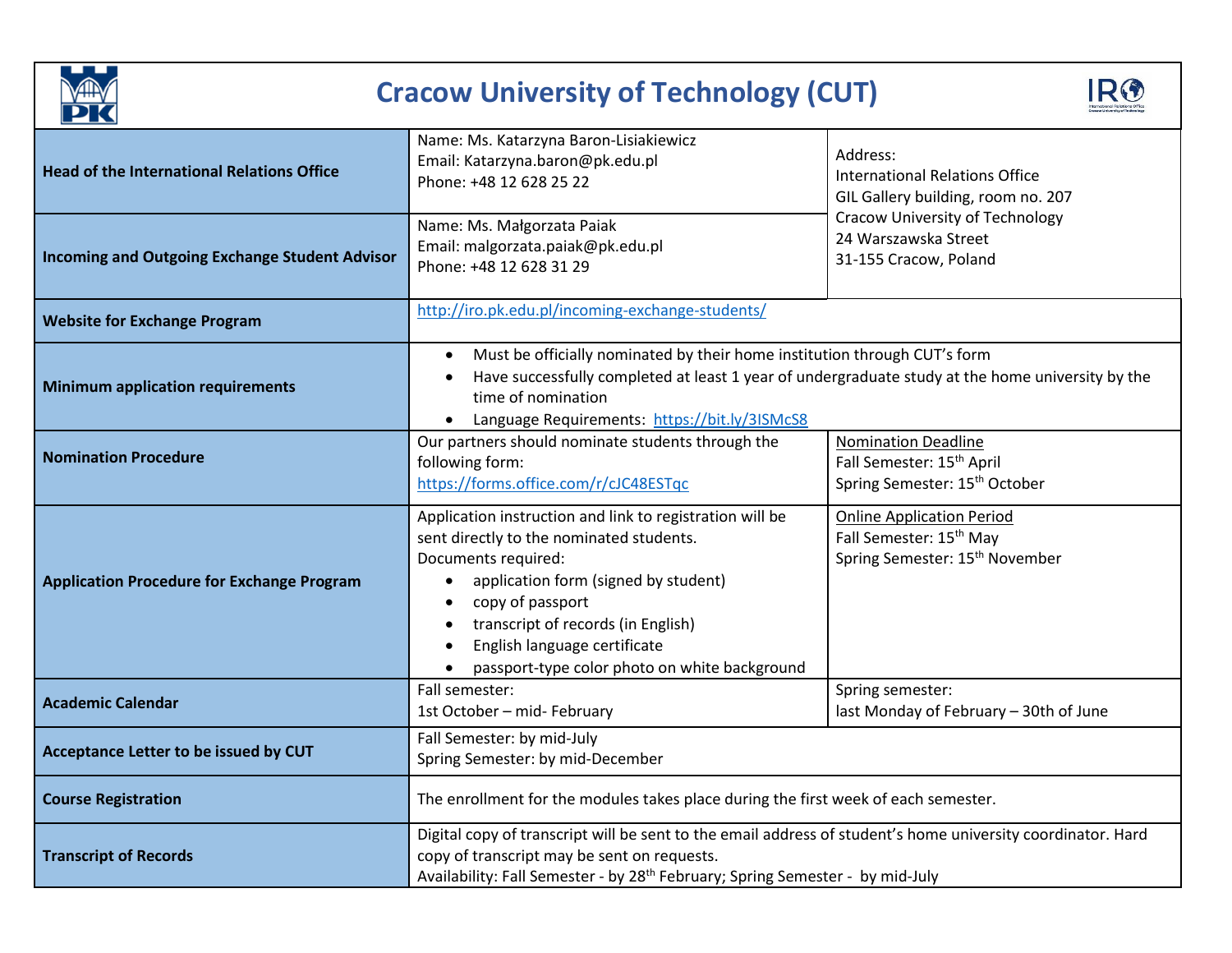

## **Cracow University of Technology (CUT)**



| <b>Head of the International Relations Office</b><br><b>Incoming and Outgoing Exchange Student Advisor</b> | Name: Ms. Katarzyna Baron-Lisiakiewicz<br>Email: Katarzyna.baron@pk.edu.pl<br>Phone: +48 12 628 25 22<br>Name: Ms. Małgorzata Paiak<br>Email: malgorzata.paiak@pk.edu.pl<br>Phone: +48 12 628 31 29                                                                                                                         | Address:<br><b>International Relations Office</b><br>GIL Gallery building, room no. 207<br><b>Cracow University of Technology</b><br>24 Warszawska Street<br>31-155 Cracow, Poland |
|------------------------------------------------------------------------------------------------------------|-----------------------------------------------------------------------------------------------------------------------------------------------------------------------------------------------------------------------------------------------------------------------------------------------------------------------------|------------------------------------------------------------------------------------------------------------------------------------------------------------------------------------|
| <b>Website for Exchange Program</b>                                                                        | http://iro.pk.edu.pl/incoming-exchange-students/                                                                                                                                                                                                                                                                            |                                                                                                                                                                                    |
| <b>Minimum application requirements</b>                                                                    | Must be officially nominated by their home institution through CUT's form<br>Have successfully completed at least 1 year of undergraduate study at the home university by the<br>time of nomination<br>Language Requirements: https://bit.ly/3ISMcS8                                                                        |                                                                                                                                                                                    |
| <b>Nomination Procedure</b>                                                                                | Our partners should nominate students through the<br>following form:<br>https://forms.office.com/r/cJC48ESTqc                                                                                                                                                                                                               | <b>Nomination Deadline</b><br>Fall Semester: 15 <sup>th</sup> April<br>Spring Semester: 15 <sup>th</sup> October                                                                   |
| <b>Application Procedure for Exchange Program</b>                                                          | Application instruction and link to registration will be<br>sent directly to the nominated students.<br>Documents required:<br>application form (signed by student)<br>copy of passport<br>$\bullet$<br>transcript of records (in English)<br>English language certificate<br>passport-type color photo on white background | <b>Online Application Period</b><br>Fall Semester: 15 <sup>th</sup> May<br>Spring Semester: 15 <sup>th</sup> November                                                              |
| <b>Academic Calendar</b>                                                                                   | Fall semester:<br>1st October - mid- February                                                                                                                                                                                                                                                                               | Spring semester:<br>last Monday of February - 30th of June                                                                                                                         |
| Acceptance Letter to be issued by CUT                                                                      | Fall Semester: by mid-July<br>Spring Semester: by mid-December                                                                                                                                                                                                                                                              |                                                                                                                                                                                    |
| <b>Course Registration</b>                                                                                 | The enrollment for the modules takes place during the first week of each semester.                                                                                                                                                                                                                                          |                                                                                                                                                                                    |
| <b>Transcript of Records</b>                                                                               | Digital copy of transcript will be sent to the email address of student's home university coordinator. Hard<br>copy of transcript may be sent on requests.<br>Availability: Fall Semester - by 28 <sup>th</sup> February; Spring Semester - by mid-July                                                                     |                                                                                                                                                                                    |